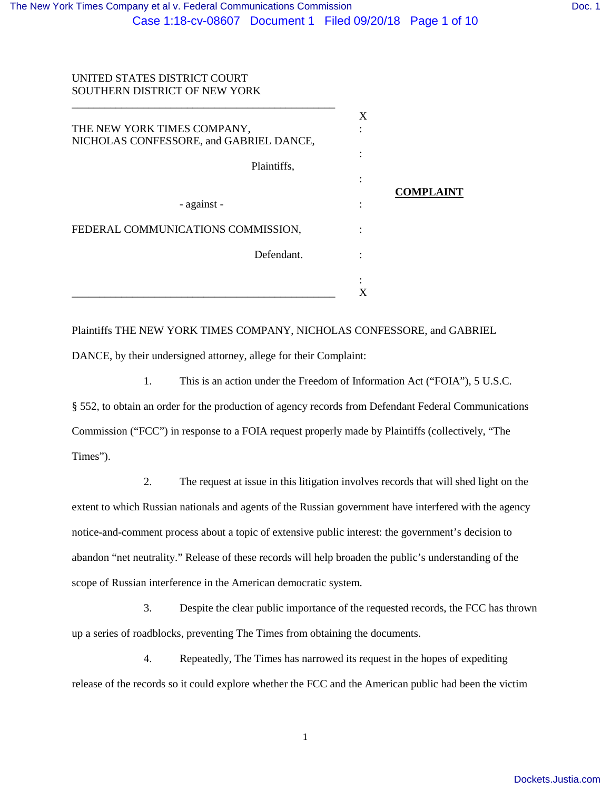# UNITED STATES DISTRICT COURT SOUTHERN DISTRICT OF NEW YORK

| THE NEW YORK TIMES COMPANY,<br>NICHOLAS CONFESSORE, and GABRIEL DANCE, | X |                  |
|------------------------------------------------------------------------|---|------------------|
| Plaintiffs,                                                            |   |                  |
|                                                                        |   | <b>COMPLAINT</b> |
| - against -                                                            |   |                  |
| FEDERAL COMMUNICATIONS COMMISSION,                                     |   |                  |
| Defendant.                                                             |   |                  |
|                                                                        | ٠ |                  |
|                                                                        |   |                  |

Plaintiffs THE NEW YORK TIMES COMPANY, NICHOLAS CONFESSORE, and GABRIEL DANCE, by their undersigned attorney, allege for their Complaint:

1. This is an action under the Freedom of Information Act ("FOIA"), 5 U.S.C. § 552, to obtain an order for the production of agency records from Defendant Federal Communications Commission ("FCC") in response to a FOIA request properly made by Plaintiffs (collectively, "The Times").

2. The request at issue in this litigation involves records that will shed light on the extent to which Russian nationals and agents of the Russian government have interfered with the agency notice-and-comment process about a topic of extensive public interest: the government's decision to abandon "net neutrality." Release of these records will help broaden the public's understanding of the scope of Russian interference in the American democratic system.

3. Despite the clear public importance of the requested records, the FCC has thrown up a series of roadblocks, preventing The Times from obtaining the documents.

4. Repeatedly, The Times has narrowed its request in the hopes of expediting release of the records so it could explore whether the FCC and the American public had been the victim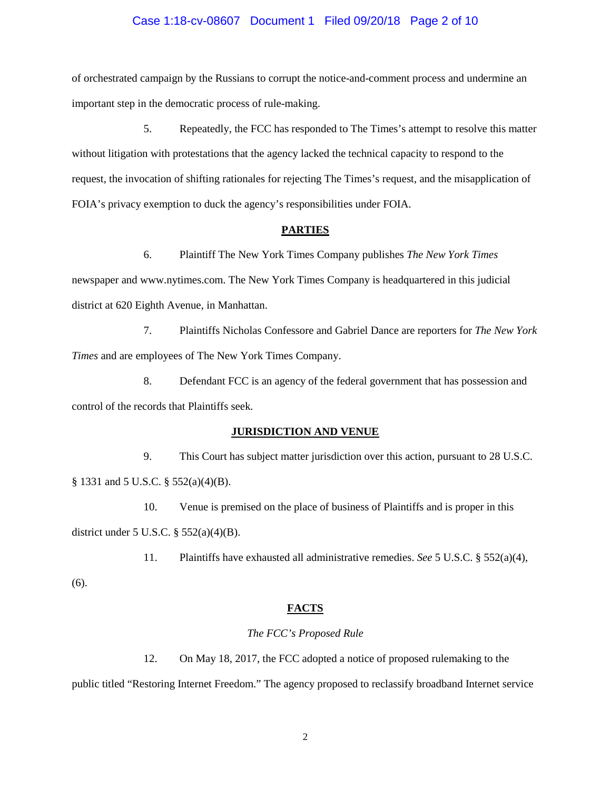# Case 1:18-cv-08607 Document 1 Filed 09/20/18 Page 2 of 10

of orchestrated campaign by the Russians to corrupt the notice-and-comment process and undermine an important step in the democratic process of rule-making.

5. Repeatedly, the FCC has responded to The Times's attempt to resolve this matter without litigation with protestations that the agency lacked the technical capacity to respond to the request, the invocation of shifting rationales for rejecting The Times's request, and the misapplication of FOIA's privacy exemption to duck the agency's responsibilities under FOIA.

# **PARTIES**

6. Plaintiff The New York Times Company publishes *The New York Times*

newspaper and www.nytimes.com. The New York Times Company is headquartered in this judicial district at 620 Eighth Avenue, in Manhattan.

7. Plaintiffs Nicholas Confessore and Gabriel Dance are reporters for *The New York Times* and are employees of The New York Times Company.

8. Defendant FCC is an agency of the federal government that has possession and control of the records that Plaintiffs seek.

#### **JURISDICTION AND VENUE**

9. This Court has subject matter jurisdiction over this action, pursuant to 28 U.S.C. § 1331 and 5 U.S.C. § 552(a)(4)(B).

10. Venue is premised on the place of business of Plaintiffs and is proper in this district under 5 U.S.C. § 552(a)(4)(B).

11. Plaintiffs have exhausted all administrative remedies. *See* 5 U.S.C. § 552(a)(4),

(6).

# **FACTS**

#### *The FCC's Proposed Rule*

12. On May 18, 2017, the FCC adopted a notice of proposed rulemaking to the

public titled "Restoring Internet Freedom." The agency proposed to reclassify broadband Internet service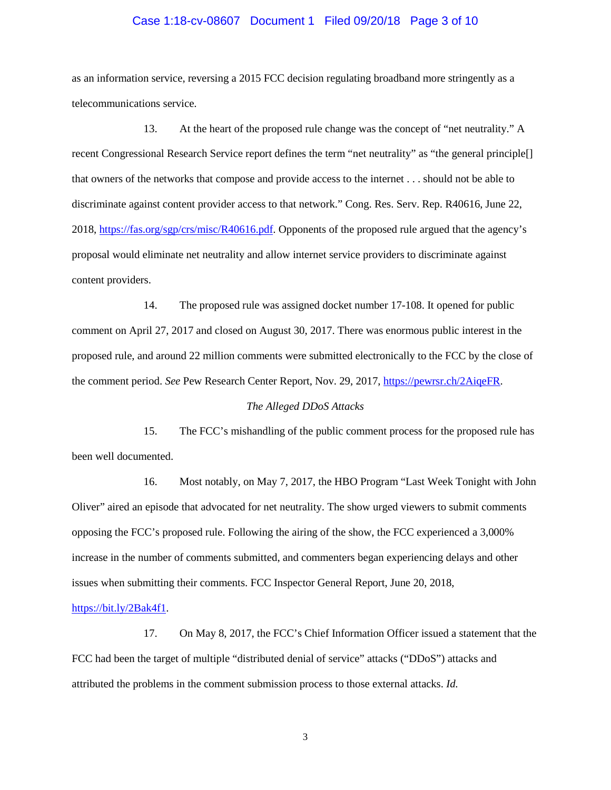# Case 1:18-cv-08607 Document 1 Filed 09/20/18 Page 3 of 10

as an information service, reversing a 2015 FCC decision regulating broadband more stringently as a telecommunications service.

13. At the heart of the proposed rule change was the concept of "net neutrality." A recent Congressional Research Service report defines the term "net neutrality" as "the general principle[] that owners of the networks that compose and provide access to the internet . . . should not be able to discriminate against content provider access to that network." Cong. Res. Serv. Rep. R40616, June 22, 2018, [https://fas.org/sgp/crs/misc/R40616.pdf.](https://fas.org/sgp/crs/misc/R40616.pdf) Opponents of the proposed rule argued that the agency's proposal would eliminate net neutrality and allow internet service providers to discriminate against content providers.

14. The proposed rule was assigned docket number 17-108. It opened for public comment on April 27, 2017 and closed on August 30, 2017. There was enormous public interest in the proposed rule, and around 22 million comments were submitted electronically to the FCC by the close of the comment period. *See* Pew Research Center Report, Nov. 29, 2017, [https://pewrsr.ch/2AiqeFR.](https://pewrsr.ch/2AiqeFR)

# *The Alleged DDoS Attacks*

15. The FCC's mishandling of the public comment process for the proposed rule has been well documented.

16. Most notably, on May 7, 2017, the HBO Program "Last Week Tonight with John Oliver" aired an episode that advocated for net neutrality. The show urged viewers to submit comments opposing the FCC's proposed rule. Following the airing of the show, the FCC experienced a 3,000% increase in the number of comments submitted, and commenters began experiencing delays and other issues when submitting their comments. FCC Inspector General Report, June 20, 2018,

# [https://bit.ly/2Bak4f1.](https://bit.ly/2Bak4f1)

17. On May 8, 2017, the FCC's Chief Information Officer issued a statement that the FCC had been the target of multiple "distributed denial of service" attacks ("DDoS") attacks and attributed the problems in the comment submission process to those external attacks. *Id.*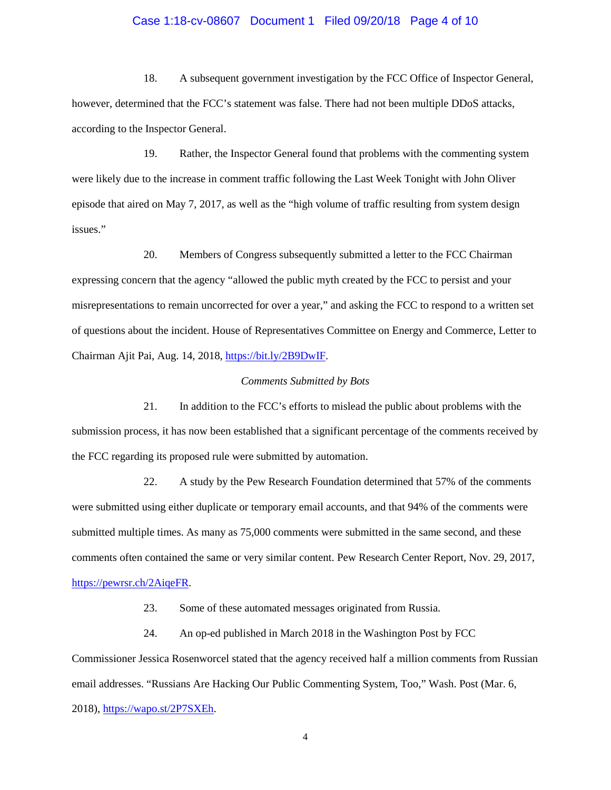# Case 1:18-cv-08607 Document 1 Filed 09/20/18 Page 4 of 10

18. A subsequent government investigation by the FCC Office of Inspector General, however, determined that the FCC's statement was false. There had not been multiple DDoS attacks, according to the Inspector General.

19. Rather, the Inspector General found that problems with the commenting system were likely due to the increase in comment traffic following the Last Week Tonight with John Oliver episode that aired on May 7, 2017, as well as the "high volume of traffic resulting from system design issues."

20. Members of Congress subsequently submitted a letter to the FCC Chairman expressing concern that the agency "allowed the public myth created by the FCC to persist and your misrepresentations to remain uncorrected for over a year," and asking the FCC to respond to a written set of questions about the incident. House of Representatives Committee on Energy and Commerce, Letter to Chairman Ajit Pai, Aug. 14, 2018, [https://bit.ly/2B9DwIF.](https://bit.ly/2B9DwIF)

#### *Comments Submitted by Bots*

21. In addition to the FCC's efforts to mislead the public about problems with the submission process, it has now been established that a significant percentage of the comments received by the FCC regarding its proposed rule were submitted by automation.

22. A study by the Pew Research Foundation determined that 57% of the comments were submitted using either duplicate or temporary email accounts, and that 94% of the comments were submitted multiple times. As many as 75,000 comments were submitted in the same second, and these comments often contained the same or very similar content. Pew Research Center Report, Nov. 29, 2017, [https://pewrsr.ch/2AiqeFR.](https://pewrsr.ch/2AiqeFR)

23. Some of these automated messages originated from Russia.

24. An op-ed published in March 2018 in the Washington Post by FCC Commissioner Jessica Rosenworcel stated that the agency received half a million comments from Russian email addresses. "Russians Are Hacking Our Public Commenting System, Too," Wash. Post (Mar. 6,

2018), [https://wapo.st/2P7SXEh.](https://wapo.st/2P7SXEh)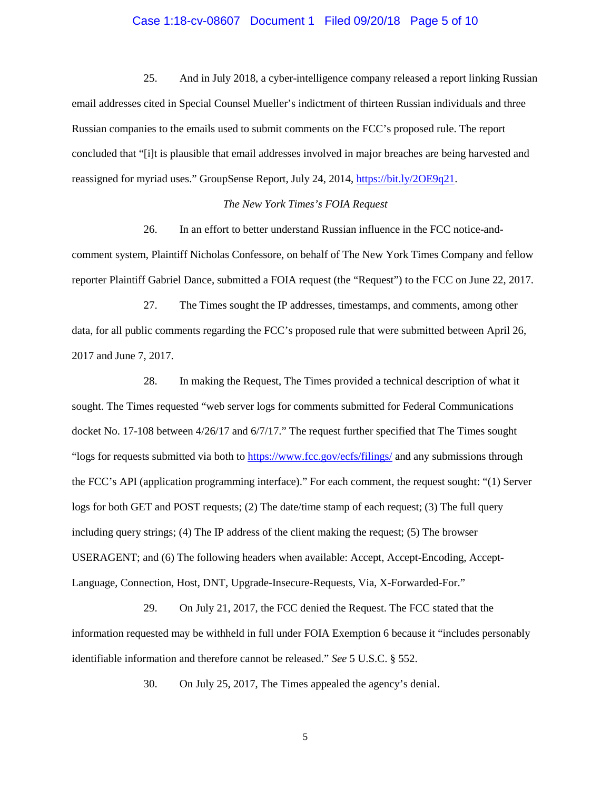# Case 1:18-cv-08607 Document 1 Filed 09/20/18 Page 5 of 10

25. And in July 2018, a cyber-intelligence company released a report linking Russian email addresses cited in Special Counsel Mueller's indictment of thirteen Russian individuals and three Russian companies to the emails used to submit comments on the FCC's proposed rule. The report concluded that "[i]t is plausible that email addresses involved in major breaches are being harvested and reassigned for myriad uses." GroupSense Report, July 24, 2014, [https://bit.ly/2OE9q21.](https://bit.ly/2OE9q21)

# *The New York Times's FOIA Request*

26. In an effort to better understand Russian influence in the FCC notice-andcomment system, Plaintiff Nicholas Confessore, on behalf of The New York Times Company and fellow reporter Plaintiff Gabriel Dance, submitted a FOIA request (the "Request") to the FCC on June 22, 2017.

27. The Times sought the IP addresses, timestamps, and comments, among other data, for all public comments regarding the FCC's proposed rule that were submitted between April 26, 2017 and June 7, 2017.

28. In making the Request, The Times provided a technical description of what it sought. The Times requested "web server logs for comments submitted for Federal Communications docket No. 17-108 between 4/26/17 and 6/7/17." The request further specified that The Times sought "logs for requests submitted via both to<https://www.fcc.gov/ecfs/filings/> and any submissions through the FCC's API (application programming interface)." For each comment, the request sought: "(1) Server logs for both GET and POST requests; (2) The date/time stamp of each request; (3) The full query including query strings; (4) The IP address of the client making the request; (5) The browser USERAGENT; and (6) The following headers when available: Accept, Accept-Encoding, Accept-Language, Connection, Host, DNT, Upgrade-Insecure-Requests, Via, X-Forwarded-For."

29. On July 21, 2017, the FCC denied the Request. The FCC stated that the information requested may be withheld in full under FOIA Exemption 6 because it "includes personably identifiable information and therefore cannot be released." *See* 5 U.S.C. § 552.

30. On July 25, 2017, The Times appealed the agency's denial.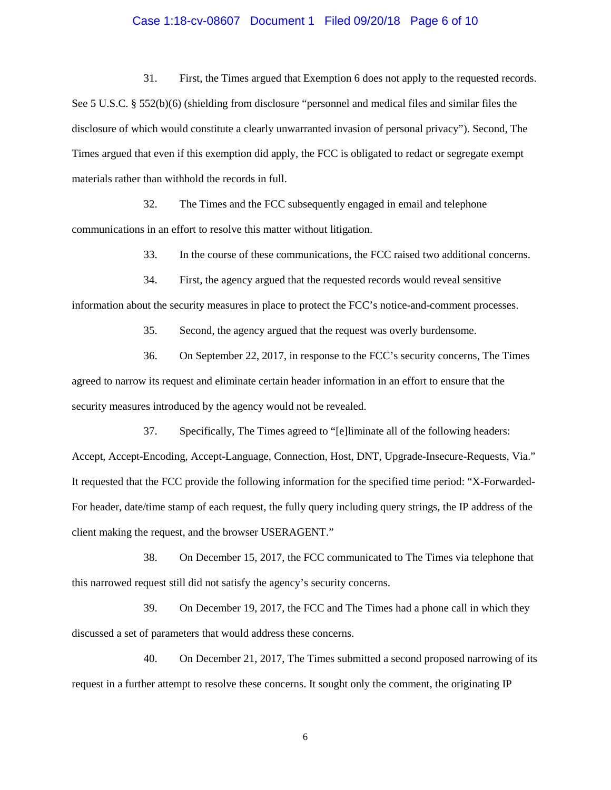# Case 1:18-cv-08607 Document 1 Filed 09/20/18 Page 6 of 10

31. First, the Times argued that Exemption 6 does not apply to the requested records. See 5 U.S.C. § 552(b)(6) (shielding from disclosure "personnel and medical files and similar files the disclosure of which would constitute a clearly unwarranted invasion of personal privacy"). Second, The Times argued that even if this exemption did apply, the FCC is obligated to redact or segregate exempt materials rather than withhold the records in full.

32. The Times and the FCC subsequently engaged in email and telephone communications in an effort to resolve this matter without litigation.

33. In the course of these communications, the FCC raised two additional concerns.

34. First, the agency argued that the requested records would reveal sensitive

information about the security measures in place to protect the FCC's notice-and-comment processes.

35. Second, the agency argued that the request was overly burdensome.

36. On September 22, 2017, in response to the FCC's security concerns, The Times agreed to narrow its request and eliminate certain header information in an effort to ensure that the security measures introduced by the agency would not be revealed.

37. Specifically, The Times agreed to "[e]liminate all of the following headers: Accept, Accept-Encoding, Accept-Language, Connection, Host, DNT, Upgrade-Insecure-Requests, Via." It requested that the FCC provide the following information for the specified time period: "X-Forwarded-For header, date/time stamp of each request, the fully query including query strings, the IP address of the client making the request, and the browser USERAGENT."

38. On December 15, 2017, the FCC communicated to The Times via telephone that this narrowed request still did not satisfy the agency's security concerns.

39. On December 19, 2017, the FCC and The Times had a phone call in which they discussed a set of parameters that would address these concerns.

40. On December 21, 2017, The Times submitted a second proposed narrowing of its request in a further attempt to resolve these concerns. It sought only the comment, the originating IP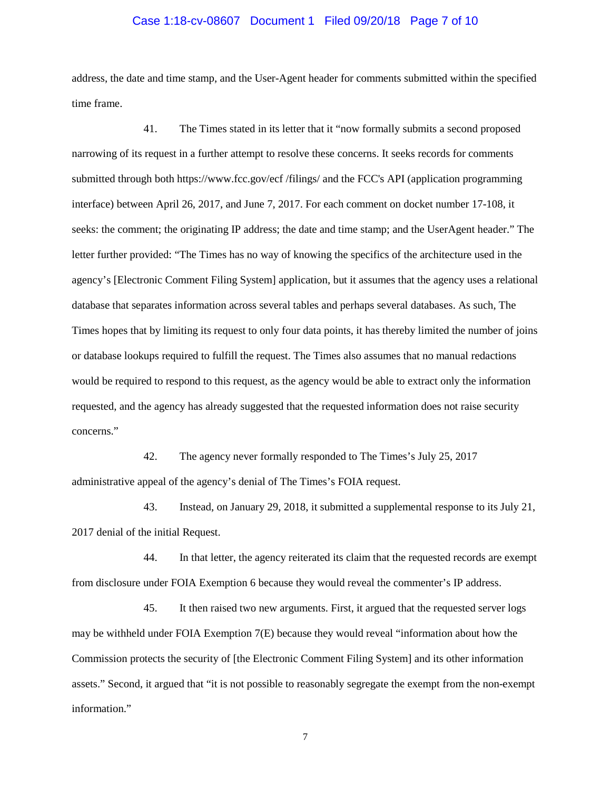# Case 1:18-cv-08607 Document 1 Filed 09/20/18 Page 7 of 10

address, the date and time stamp, and the User-Agent header for comments submitted within the specified time frame.

41. The Times stated in its letter that it "now formally submits a second proposed narrowing of its request in a further attempt to resolve these concerns. It seeks records for comments submitted through both https://www.fcc.gov/ecf /filings/ and the FCC's API (application programming interface) between April 26, 2017, and June 7, 2017. For each comment on docket number 17-108, it seeks: the comment; the originating IP address; the date and time stamp; and the UserAgent header." The letter further provided: "The Times has no way of knowing the specifics of the architecture used in the agency's [Electronic Comment Filing System] application, but it assumes that the agency uses a relational database that separates information across several tables and perhaps several databases. As such, The Times hopes that by limiting its request to only four data points, it has thereby limited the number of joins or database lookups required to fulfill the request. The Times also assumes that no manual redactions would be required to respond to this request, as the agency would be able to extract only the information requested, and the agency has already suggested that the requested information does not raise security concerns."

42. The agency never formally responded to The Times's July 25, 2017 administrative appeal of the agency's denial of The Times's FOIA request.

43. Instead, on January 29, 2018, it submitted a supplemental response to its July 21, 2017 denial of the initial Request.

44. In that letter, the agency reiterated its claim that the requested records are exempt from disclosure under FOIA Exemption 6 because they would reveal the commenter's IP address.

45. It then raised two new arguments. First, it argued that the requested server logs may be withheld under FOIA Exemption 7(E) because they would reveal "information about how the Commission protects the security of [the Electronic Comment Filing System] and its other information assets." Second, it argued that "it is not possible to reasonably segregate the exempt from the non-exempt information."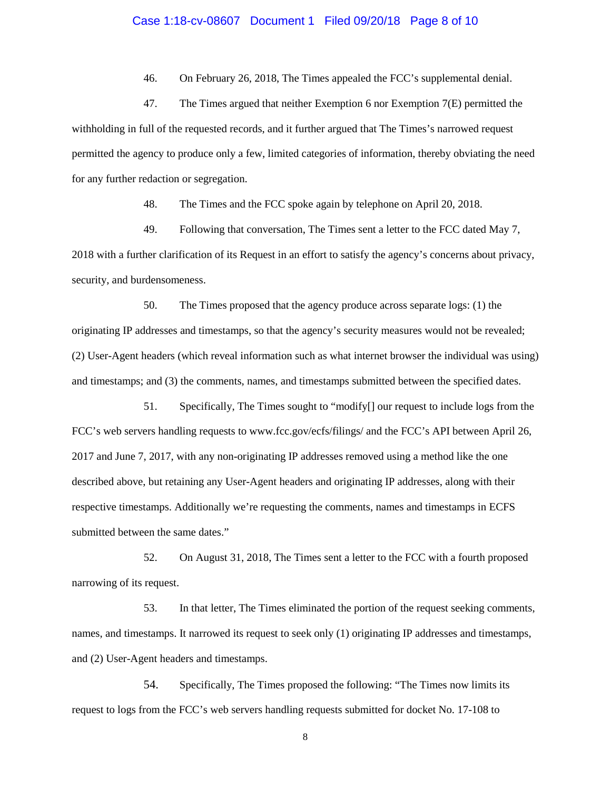# Case 1:18-cv-08607 Document 1 Filed 09/20/18 Page 8 of 10

46. On February 26, 2018, The Times appealed the FCC's supplemental denial.

47. The Times argued that neither Exemption 6 nor Exemption 7(E) permitted the withholding in full of the requested records, and it further argued that The Times's narrowed request permitted the agency to produce only a few, limited categories of information, thereby obviating the need for any further redaction or segregation.

48. The Times and the FCC spoke again by telephone on April 20, 2018.

49. Following that conversation, The Times sent a letter to the FCC dated May 7, 2018 with a further clarification of its Request in an effort to satisfy the agency's concerns about privacy, security, and burdensomeness.

50. The Times proposed that the agency produce across separate logs: (1) the originating IP addresses and timestamps, so that the agency's security measures would not be revealed; (2) User-Agent headers (which reveal information such as what internet browser the individual was using) and timestamps; and (3) the comments, names, and timestamps submitted between the specified dates.

51. Specifically, The Times sought to "modify[] our request to include logs from the FCC's web servers handling requests to www.fcc.gov/ecfs/filings/ and the FCC's API between April 26, 2017 and June 7, 2017, with any non-originating IP addresses removed using a method like the one described above, but retaining any User-Agent headers and originating IP addresses, along with their respective timestamps. Additionally we're requesting the comments, names and timestamps in ECFS submitted between the same dates."

52. On August 31, 2018, The Times sent a letter to the FCC with a fourth proposed narrowing of its request.

53. In that letter, The Times eliminated the portion of the request seeking comments, names, and timestamps. It narrowed its request to seek only (1) originating IP addresses and timestamps, and (2) User-Agent headers and timestamps.

54. Specifically, The Times proposed the following: "The Times now limits its request to logs from the FCC's web servers handling requests submitted for docket No. 17-108 to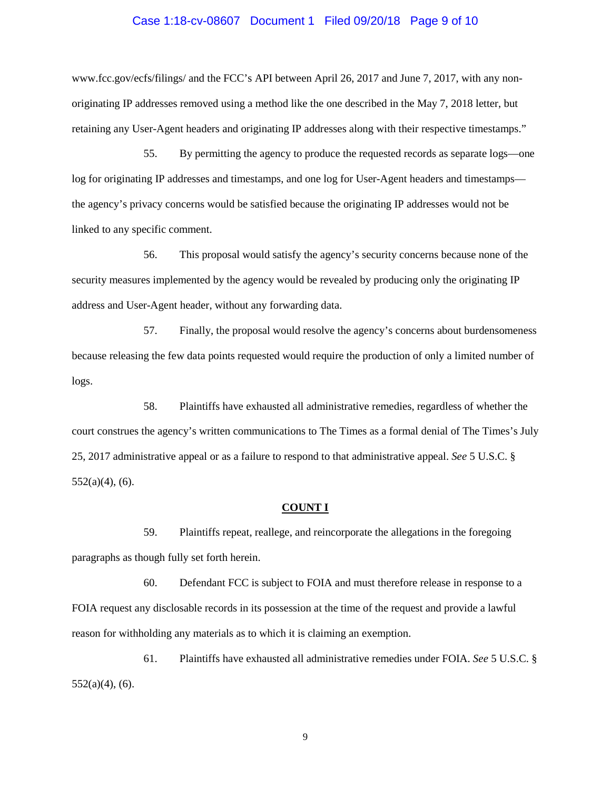# Case 1:18-cv-08607 Document 1 Filed 09/20/18 Page 9 of 10

www.fcc.gov/ecfs/filings/ and the FCC's API between April 26, 2017 and June 7, 2017, with any nonoriginating IP addresses removed using a method like the one described in the May 7, 2018 letter, but retaining any User-Agent headers and originating IP addresses along with their respective timestamps."

55. By permitting the agency to produce the requested records as separate logs—one log for originating IP addresses and timestamps, and one log for User-Agent headers and timestamps the agency's privacy concerns would be satisfied because the originating IP addresses would not be linked to any specific comment.

56. This proposal would satisfy the agency's security concerns because none of the security measures implemented by the agency would be revealed by producing only the originating IP address and User-Agent header, without any forwarding data.

57. Finally, the proposal would resolve the agency's concerns about burdensomeness because releasing the few data points requested would require the production of only a limited number of logs.

58. Plaintiffs have exhausted all administrative remedies, regardless of whether the court construes the agency's written communications to The Times as a formal denial of The Times's July 25, 2017 administrative appeal or as a failure to respond to that administrative appeal. *See* 5 U.S.C. §  $552(a)(4)$ , (6).

#### **COUNT I**

59. Plaintiffs repeat, reallege, and reincorporate the allegations in the foregoing paragraphs as though fully set forth herein.

60. Defendant FCC is subject to FOIA and must therefore release in response to a FOIA request any disclosable records in its possession at the time of the request and provide a lawful reason for withholding any materials as to which it is claiming an exemption.

61. Plaintiffs have exhausted all administrative remedies under FOIA. *See* 5 U.S.C. § 552(a)(4), (6).